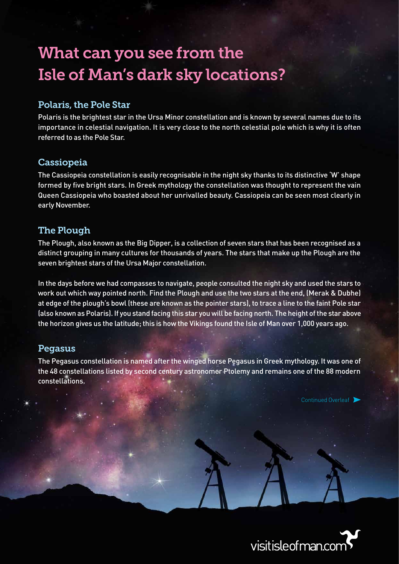# What can you see from the Isle of Man's dark sky locations?

## Polaris, the Pole Star

Polaris is the brightest star in the Ursa Minor constellation and is known by several names due to its importance in celestial navigation. It is very close to the north celestial pole which is why it is often referred to as the Pole Star.

## Cassiopeia

The Cassiopeia constellation is easily recognisable in the night sky thanks to its distinctive 'W' shape formed by five bright stars. In Greek mythology the constellation was thought to represent the vain Queen Cassiopeia who boasted about her unrivalled beauty. Cassiopeia can be seen most clearly in early November.

## The Plough

The Plough, also known as the Big Dipper, is a collection of seven stars that has been recognised as a distinct grouping in many cultures for thousands of years. The stars that make up the Plough are the seven brightest stars of the Ursa Major constellation.

In the days before we had compasses to navigate, people consulted the night sky and used the stars to work out which way pointed north. Find the Plough and use the two stars at the end, (Merak & Dubhe) at edge of the plough's bowl (these are known as the pointer stars), to trace a line to the faint Pole star (also known as Polaris). If you stand facing this star you will be facing north. The height of the star above the horizon gives us the latitude; this is how the Vikings found the Isle of Man over 1,000 years ago.

## **Pegasus**

The Pegasus constellation is named after the winged horse Pegasus in Greek mythology. It was one of the 48 constellations listed by second century astronomer Ptolemy and remains one of the 88 modern constellations.

Continued Overleaf

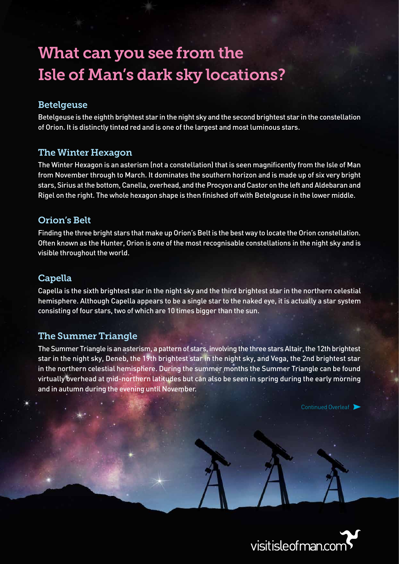# What can you see from the Isle of Man's dark sky locations?

### Betelgeuse

Betelgeuse is the eighth brightest star in the night sky and the second brightest star in the constellation of Orion. It is distinctly tinted red and is one of the largest and most luminous stars.

## The Winter Hexagon

The Winter Hexagon is an asterism (not a constellation) that is seen magnificently from the Isle of Man from November through to March. It dominates the southern horizon and is made up of six very bright stars, Sirius at the bottom, Canella, overhead, and the Procyon and Castor on the left and Aldebaran and Rigel on the right. The whole hexagon shape is then finished off with Betelgeuse in the lower middle.

#### Orion's Belt

Finding the three bright stars that make up Orion's Belt is the best way to locate the Orion constellation. Often known as the Hunter, Orion is one of the most recognisable constellations in the night sky and is visible throughout the world.

#### **Capella**

Capella is the sixth brightest star in the night sky and the third brightest star in the northern celestial hemisphere. Although Capella appears to be a single star to the naked eye, it is actually a star system consisting of four stars, two of which are 10 times bigger than the sun.

## The Summer Triangle

The Summer Triangle is an asterism, a pattern of stars, involving the three stars Altair, the 12th brightest star in the night sky, Deneb, the 19th brightest star in the night sky, and Vega, the 2nd brightest star in the northern celestial hemisphere. During the summer months the Summer Triangle can be found virtually overhead at mid-northern latitudes but can also be seen in spring during the early morning and in autumn during the evening until November.

Continued Overleaf